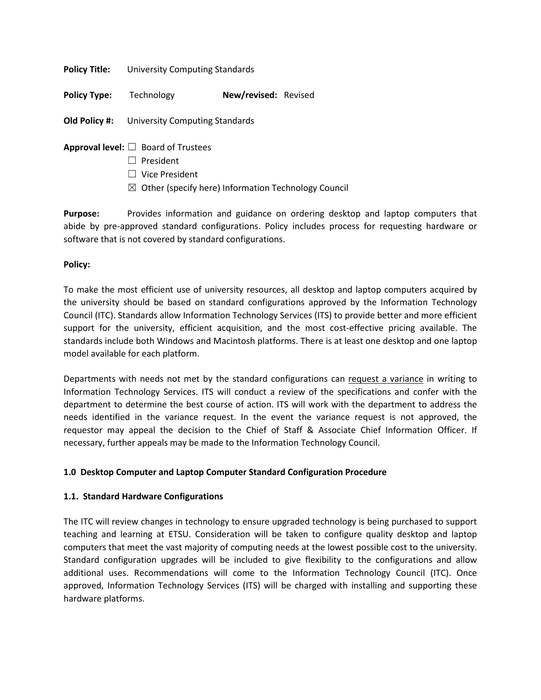| <b>Policy Title:</b> | University Computing Standards                      |                      |  |
|----------------------|-----------------------------------------------------|----------------------|--|
| <b>Policy Type:</b>  | Technology                                          | New/revised: Revised |  |
|                      | <b>Old Policy #:</b> University Computing Standards |                      |  |

- **Approval level:** ☐ Board of Trustees
	- ☐ President
	- ☐ Vice President
	- $\boxtimes$  Other (specify here) Information Technology Council

**Purpose:** Provides information and guidance on ordering desktop and laptop computers that abide by pre-approved standard configurations. Policy includes process for requesting hardware or software that is not covered by standard configurations.

## **Policy:**

To make the most efficient use of university resources, all desktop and laptop computers acquired by the university should be based on standard configurations approved by the Information Technology Council (ITC). Standards allow Information Technology Services (ITS) to provide better and more efficient support for the university, efficient acquisition, and the most cost-effective pricing available. The standards include both Windows and Macintosh platforms. There is at least one desktop and one laptop model available for each platform.

Departments with needs not met by the standard configurations can [request a variance](http://www.etsu.edu/oit/documents/varianceform1.pdf) in writing to Information Technology Services. ITS will conduct a review of the specifications and confer with the department to determine the best course of action. ITS will work with the department to address the needs identified in the variance request. In the event the variance request is not approved, the requestor may appeal the decision to the Chief of Staff & Associate Chief Information Officer. If necessary, further appeals may be made to the Information Technology Council.

# **1.0 Desktop Computer and Laptop Computer Standard Configuration Procedure**

#### **1.1. Standard Hardware Configurations**

The ITC will review changes in technology to ensure upgraded technology is being purchased to support teaching and learning at ETSU. Consideration will be taken to configure quality desktop and laptop computers that meet the vast majority of computing needs at the lowest possible cost to the university. Standard configuration upgrades will be included to give flexibility to the configurations and allow additional uses. Recommendations will come to the Information Technology Council (ITC). Once approved, Information Technology Services (ITS) will be charged with installing and supporting these hardware platforms.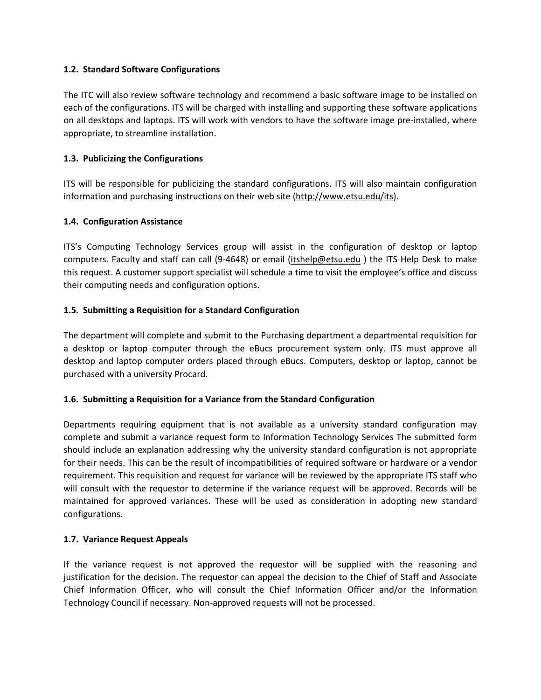#### **1.2. Standard Software Configurations**

The ITC will also review software technology and recommend a basic software image to be installed on each of the configurations. ITS will be charged with installing and supporting these software applications on all desktops and laptops. ITS will work with vendors to have the software image pre-installed, where appropriate, to streamline installation.

# **1.3. Publicizing the Configurations**

ITS will be responsible for publicizing the standard configurations. ITS will also maintain configuration information and purchasing instructions on their web site [\(http://www.etsu.edu/its\)](http://www.etsu.edu/its/).

## **1.4. Configuration Assistance**

ITS's Computing Technology Services group will assist in the configuration of desktop or laptop computers. Faculty and staff can call (9-4648) or email [\(itshelp@etsu.edu](mailto:oithelp@etsu.edu?Subject=) ) the ITS Help Desk to make this request. A customer support specialist will schedule a time to visit the employee's office and discuss their computing needs and configuration options.

## **1.5. Submitting a Requisition for a Standard Configuration**

The department will complete and submit to the Purchasing department a departmental requisition for a desktop or laptop computer through the eBucs procurement system only. ITS must approve all desktop and laptop computer orders placed through eBucs. Computers, desktop or laptop, cannot be purchased with a university Procard.

# **1.6. Submitting a Requisition for a Variance from the Standard Configuration**

Departments requiring equipment that is not available as a university standard configuration may complete and submit a variance request form to Information Technology Services The submitted form should include an explanation addressing why the university standard configuration is not appropriate for their needs. This can be the result of incompatibilities of required software or hardware or a vendor requirement. This requisition and request for variance will be reviewed by the appropriate ITS staff who will consult with the requestor to determine if the variance request will be approved. Records will be maintained for approved variances. These will be used as consideration in adopting new standard configurations.

#### **1.7. Variance Request Appeals**

If the variance request is not approved the requestor will be supplied with the reasoning and justification for the decision. The requestor can appeal the decision to the Chief of Staff and Associate Chief Information Officer, who will consult the Chief Information Officer and/or the Information Technology Council if necessary. Non-approved requests will not be processed.